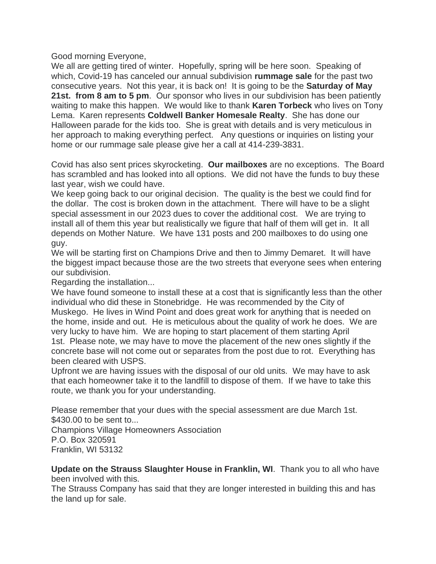Good morning Everyone,

We all are getting tired of winter. Hopefully, spring will be here soon. Speaking of which, Covid-19 has canceled our annual subdivision **rummage sale** for the past two consecutive years. Not this year, it is back on! It is going to be the **Saturday of May 21st. from 8 am to 5 pm**. Our sponsor who lives in our subdivision has been patiently waiting to make this happen. We would like to thank **Karen Torbeck** who lives on Tony Lema. Karen represents **Coldwell Banker Homesale Realty**. She has done our Halloween parade for the kids too. She is great with details and is very meticulous in her approach to making everything perfect. Any questions or inquiries on listing your home or our rummage sale please give her a call at 414-239-3831.

Covid has also sent prices skyrocketing. **Our mailboxes** are no exceptions. The Board has scrambled and has looked into all options. We did not have the funds to buy these last year, wish we could have.

We keep going back to our original decision. The quality is the best we could find for the dollar. The cost is broken down in the attachment. There will have to be a slight special assessment in our 2023 dues to cover the additional cost. We are trying to install all of them this year but realistically we figure that half of them will get in. It all depends on Mother Nature. We have 131 posts and 200 mailboxes to do using one guy.

We will be starting first on Champions Drive and then to Jimmy Demaret. It will have the biggest impact because those are the two streets that everyone sees when entering our subdivision.

Regarding the installation...

We have found someone to install these at a cost that is significantly less than the other individual who did these in Stonebridge. He was recommended by the City of Muskego. He lives in Wind Point and does great work for anything that is needed on the home, inside and out. He is meticulous about the quality of work he does. We are very lucky to have him. We are hoping to start placement of them starting April 1st. Please note, we may have to move the placement of the new ones slightly if the concrete base will not come out or separates from the post due to rot. Everything has been cleared with USPS.

Upfront we are having issues with the disposal of our old units. We may have to ask that each homeowner take it to the landfill to dispose of them. If we have to take this route, we thank you for your understanding.

Please remember that your dues with the special assessment are due March 1st. \$430.00 to be sent to... Champions Village Homeowners Association P.O. Box 320591 Franklin, WI 53132

**Update on the Strauss Slaughter House in Franklin, WI**. Thank you to all who have been involved with this.

The Strauss Company has said that they are longer interested in building this and has the land up for sale.